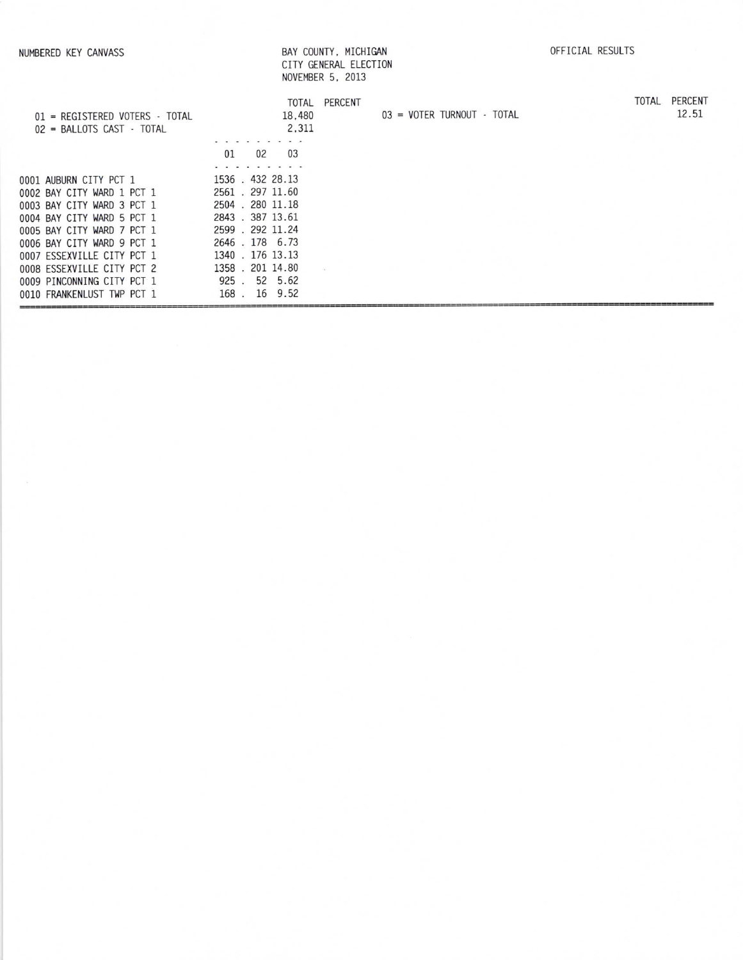|                                                                                        |                                                         | VIII GENEMAL LLLVIIVI<br>NOVEMBER 5, 2013 |                            |  |       |                  |
|----------------------------------------------------------------------------------------|---------------------------------------------------------|-------------------------------------------|----------------------------|--|-------|------------------|
| $01$ = REGISTERED VOTERS - TOTAL<br>$02$ = BALLOTS CAST $\cdot$ TOTAL                  | 18,480<br>2,311                                         | TOTAL PERCENT                             | 03 = VOTER TURNOUT - TOTAL |  | TOTAL | PERCENT<br>12.51 |
|                                                                                        | 03<br>02<br>01                                          |                                           |                            |  |       |                  |
| 0001 AUBURN CITY PCT 1<br>0002 BAY CITY WARD 1 PCT 1<br>0003 BAY CITY WARD 3 PCT 1     | 1536.432 28.13<br>2561 . 297 11.60<br>2504 . 280 11.18  |                                           |                            |  |       |                  |
| 0004 BAY CITY WARD 5 PCT 1<br>0005 BAY CITY WARD 7 PCT 1<br>0006 BAY CITY WARD 9 PCT 1 | 2843 . 387 13.61<br>2599 . 292 11.24<br>2646.178 6.73   |                                           |                            |  |       |                  |
| 0007 ESSEXVILLE CITY PCT 1<br>0008 ESSEXVILLE CITY PCT 2<br>0009 PINCONNING CITY PCT 1 | 1340 . 176 13.13<br>1358 . 201 14.80<br>52 5.62<br>925. |                                           |                            |  |       |                  |
| 0010 FRANKENLUST TWP PCT 1                                                             | 9.52<br>168.<br>16                                      |                                           |                            |  |       |                  |

BAY COUNTY, MICHIGAN<br>CITY GENERAL ELECTION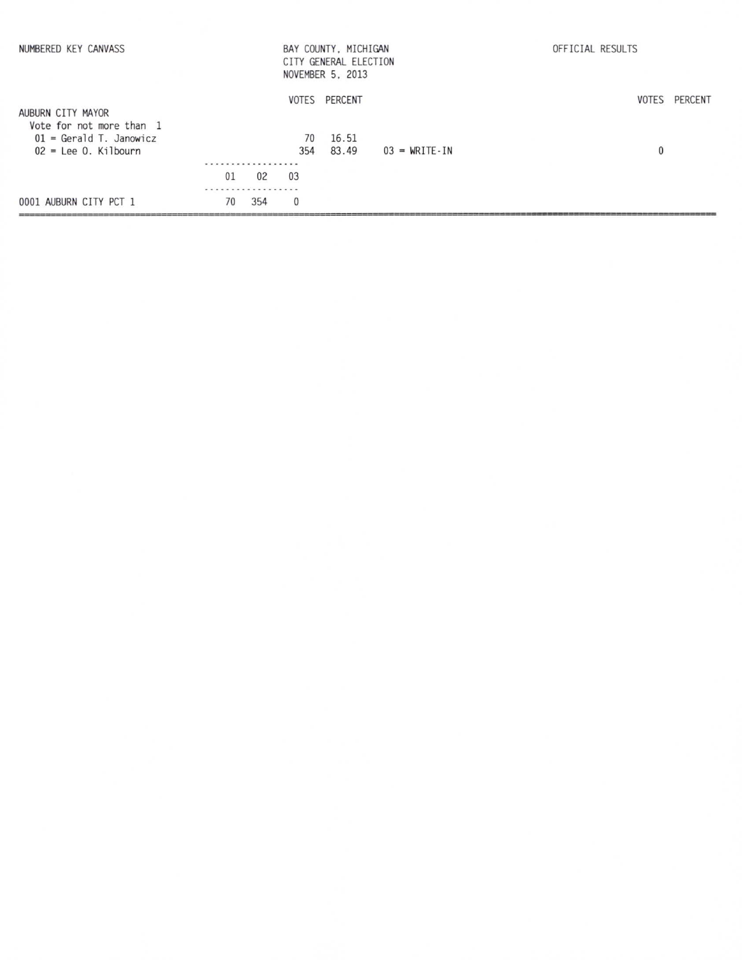| NUMBERED KEY CANVASS                                                                   |         |     |              | BAY COUNTY, MICHIGAN<br>CITY GENERAL ELECTION<br>NOVEMBER 5, 2013 |                                     | OFFICIAL RESULTS |         |
|----------------------------------------------------------------------------------------|---------|-----|--------------|-------------------------------------------------------------------|-------------------------------------|------------------|---------|
| AUBURN CITY MAYOR                                                                      |         |     |              | VOTES PERCENT                                                     |                                     | VOTES            | PERCENT |
| Vote for not more than 1<br>$01 = \text{Gerald T. Janowicz}$<br>$02$ = Lee 0. Kilbourn |         |     | 70<br>354    | 16.51<br>83.49                                                    | $03 = \text{WRITE} \cdot \text{IN}$ | $\bf{0}$         |         |
|                                                                                        | .<br>01 | 02  | 03           |                                                                   |                                     |                  |         |
|                                                                                        |         |     |              |                                                                   |                                     |                  |         |
| 0001 AUBURN CITY PCT 1                                                                 | 70      | 354 | $\mathbf{0}$ |                                                                   |                                     |                  |         |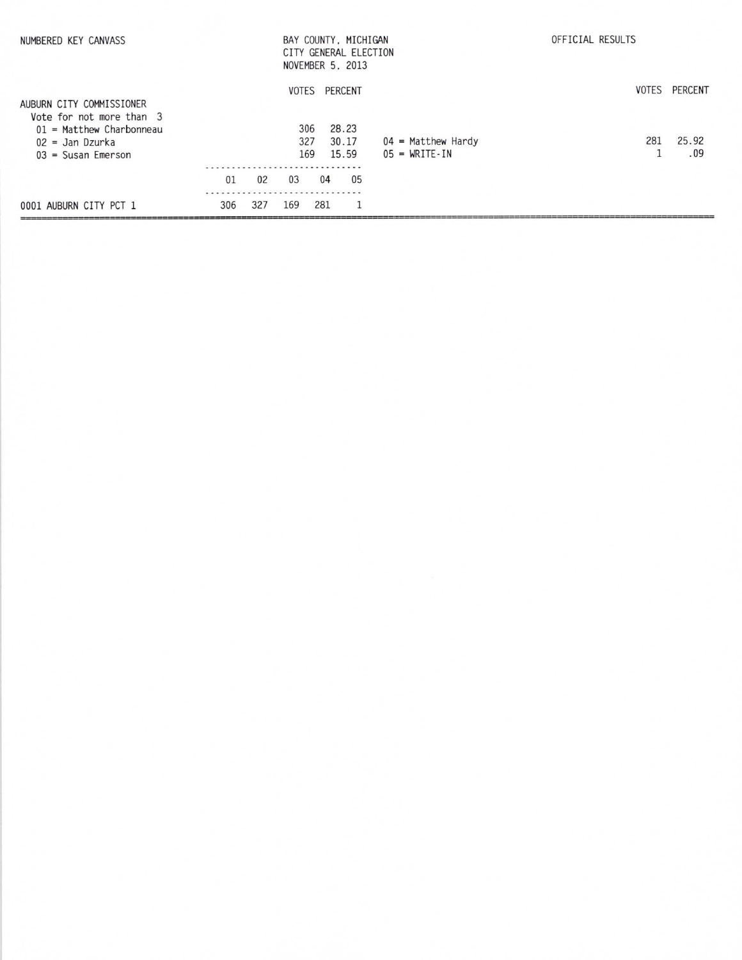| NUMBERED KEY CANVASS                                                                                    |     | BAY COUNTY, MICHIGAN<br>CITY GENERAL ELECTION<br>NOVEMBER 5, 2013 |                     |     |                           |    | OFFICIAL RESULTS                |  |                               |
|---------------------------------------------------------------------------------------------------------|-----|-------------------------------------------------------------------|---------------------|-----|---------------------------|----|---------------------------------|--|-------------------------------|
| AUBURN CITY COMMISSIONER<br>Vote for not more than 3<br>$01$ = Matthew Charbonneau<br>$02 =$ Jan Dzurka |     |                                                                   | VOTES<br>306<br>327 |     | PERCENT<br>28.23<br>30.17 |    | $04$ = Matthew Hardy            |  | VOTES PERCENT<br>25.92<br>281 |
| $03 = S$ usan Emerson                                                                                   | 01  | 02                                                                | 169<br>03           | 04  | 15.59                     | 05 | $05 = \text{WRITE} - \text{IN}$ |  | .09                           |
| 0001 AUBURN CITY PCT 1                                                                                  | 306 | 327                                                               | 169                 | 281 |                           |    |                                 |  |                               |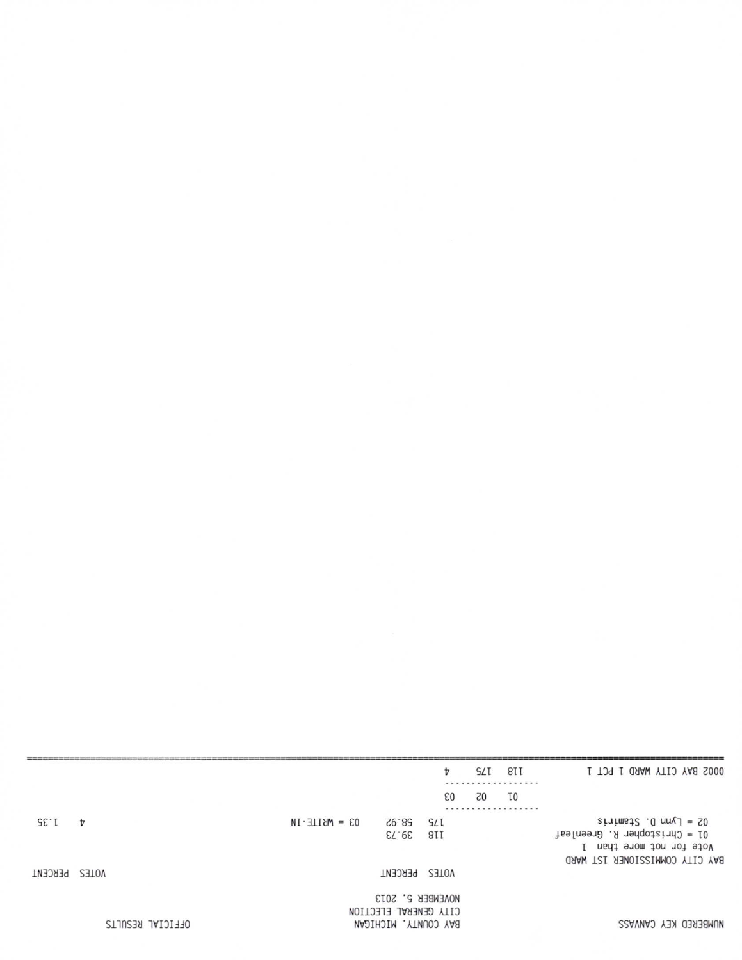|         |                  |                   |                                                                   | t            | G/L            | 8II<br>.       | 0002 BAY CITY WARD 1 PCT 1                                                                                                       |
|---------|------------------|-------------------|-------------------------------------------------------------------|--------------|----------------|----------------|----------------------------------------------------------------------------------------------------------------------------------|
|         |                  |                   |                                                                   | 63           | Z <sub>0</sub> | T <sub>0</sub> |                                                                                                                                  |
| SE.T    | t                | $03 = MHILE - IN$ | 26.85<br>39.73                                                    | G/I<br>8II   |                |                | $s$ interests $.0$ and $1 = 50$<br>$15 =$ Christopher R. Greenleaf<br>Vote for not more than 1<br>BAY CITY COMMISSIONER 1ST WARD |
| PERCENT | VOTES            |                   | PERCENT                                                           | <b>NOTES</b> |                |                |                                                                                                                                  |
|         | OFFICIAL RESULTS |                   | NOVEMBER 5, 2013<br>CITY GENERAL ELECTION<br>BAY COUNTY, MICHIGAN |              |                |                | NUMBERED KEY CANVASS                                                                                                             |
|         |                  |                   |                                                                   |              |                |                |                                                                                                                                  |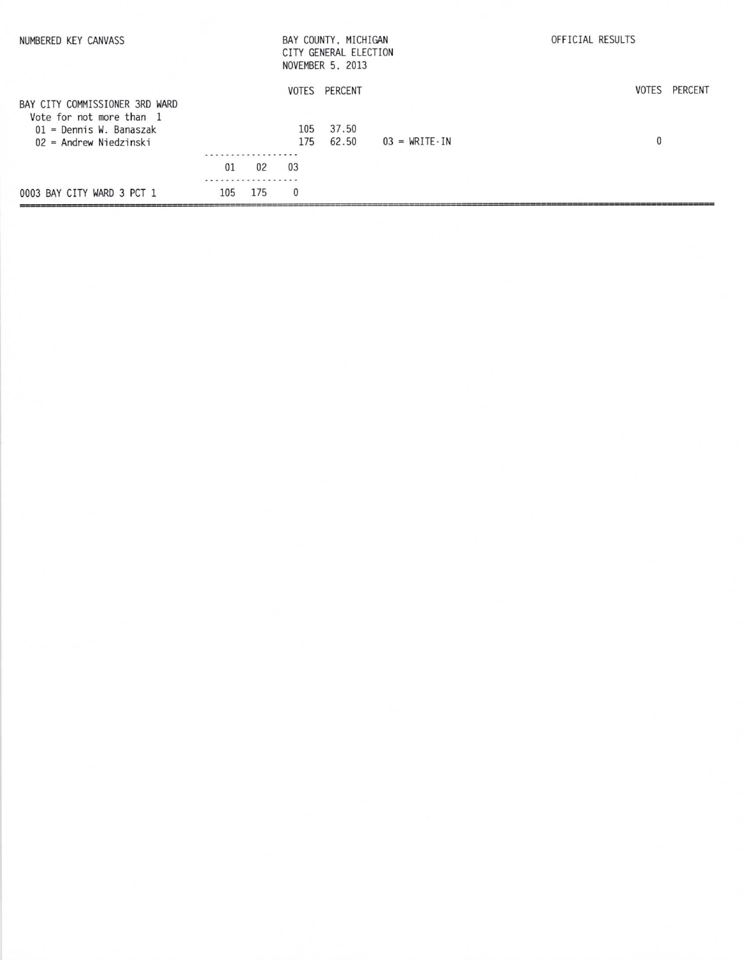| NUMBERED KEY CANVASS           |     |                |              | BAY COUNTY, MICHIGAN<br>CITY GENERAL ELECTION<br>NOVEMBER 5, 2013 |                                 | OFFICIAL RESULTS |               |  |  |
|--------------------------------|-----|----------------|--------------|-------------------------------------------------------------------|---------------------------------|------------------|---------------|--|--|
|                                |     |                |              | VOTES PERCENT                                                     |                                 |                  | VOTES PERCENT |  |  |
| BAY CITY COMMISSIONER 3RD WARD |     |                |              |                                                                   |                                 |                  |               |  |  |
| Vote for not more than 1       |     |                |              |                                                                   |                                 |                  |               |  |  |
| $01$ = Dennis W. Banaszak      |     |                | 105          | 37.50                                                             |                                 |                  |               |  |  |
| $02$ = Andrew Niedzinski       |     |                | 175          | 62.50                                                             | $03 = \text{WRITE} - \text{IN}$ | 0                |               |  |  |
|                                |     | .              |              |                                                                   |                                 |                  |               |  |  |
|                                | 01  | 0 <sup>2</sup> | 03           |                                                                   |                                 |                  |               |  |  |
|                                |     |                |              |                                                                   |                                 |                  |               |  |  |
| 0003 BAY CITY WARD 3 PCT 1     | 105 | 175            | $\mathbf{0}$ |                                                                   |                                 |                  |               |  |  |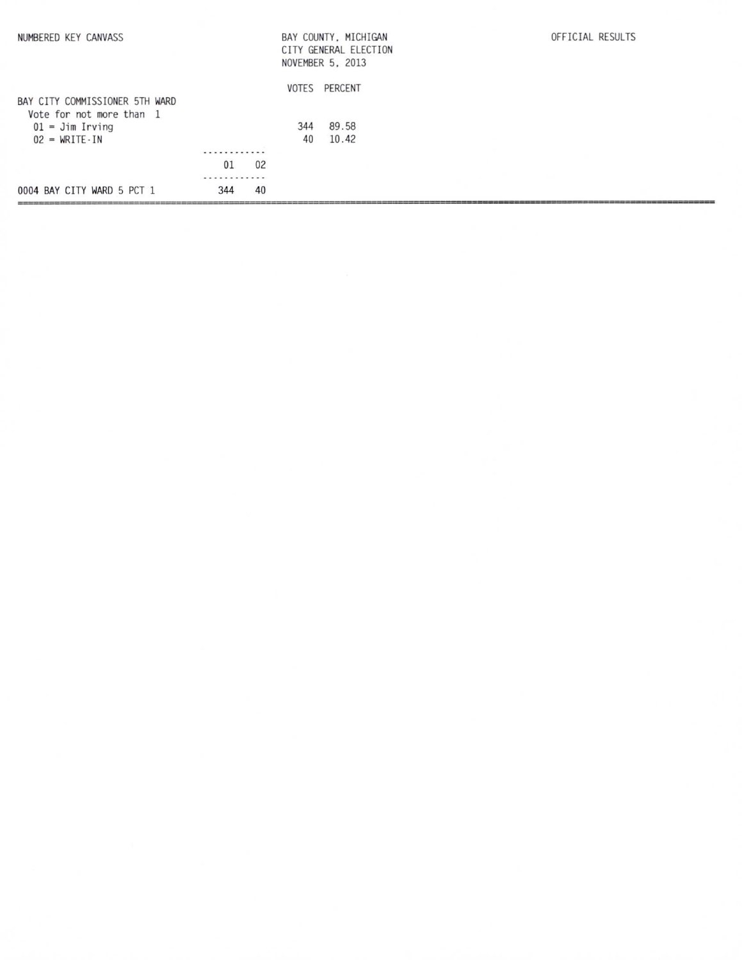| 0004 BAY CITY WARD 5 PCT 1     | 344 | 40 |     |                       |                  |
|--------------------------------|-----|----|-----|-----------------------|------------------|
|                                | .   |    |     |                       |                  |
|                                | 01  | 02 |     |                       |                  |
|                                | .   |    |     |                       |                  |
| $02 = WRITE \cdot IN$          |     |    | 40  | 10.42                 |                  |
| $01 =$ Jim Irving              |     |    | 344 | 89.58                 |                  |
| Vote for not more than 1       |     |    |     |                       |                  |
| BAY CITY COMMISSIONER 5TH WARD |     |    |     |                       |                  |
|                                |     |    |     | VOTES PERCENT         |                  |
|                                |     |    |     | NOVEMBER 5, 2013      |                  |
|                                |     |    |     | CITY GENERAL ELECTION |                  |
| NUMBERED KEY CANVASS           |     |    |     | BAY COUNTY, MICHIGAN  | OFFICIAL RESULTS |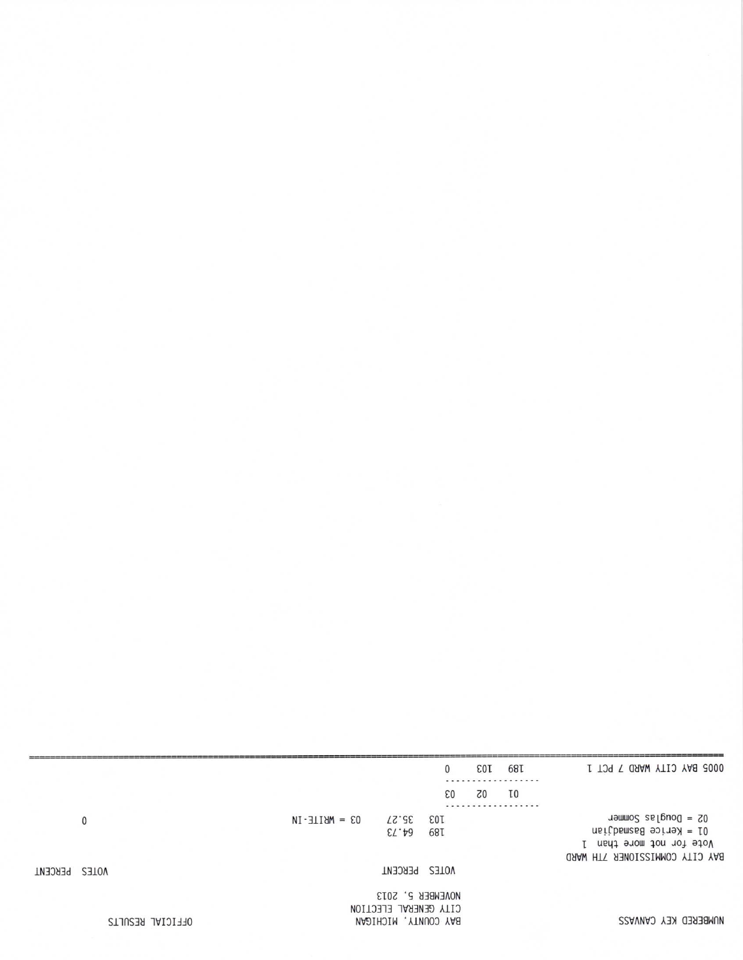|         |                  |                   |                                                                   | $\mathbf{0}$      | <b>EOT</b> | 68T            | 0005 BAY CITY WARD 7 PCT 1                                                                                         |
|---------|------------------|-------------------|-------------------------------------------------------------------|-------------------|------------|----------------|--------------------------------------------------------------------------------------------------------------------|
|         |                  |                   |                                                                   | 63                | 70         | T <sub>0</sub> |                                                                                                                    |
|         | 0                | $03 = MHILE - IN$ | <b>75.27</b><br>$E\mathcal{T}$ . $A\mathcal{S}$                   | <b>EOT</b><br>68T |            |                | $05 = 5000$ selfood $= 20$<br>$nsifbems6990fry = 10$<br>Vote for not more than 1<br>BAY CITY COMMISSIONER 7TH WARD |
| PERCENT | VOTES            |                   | VOTES PERCENT                                                     |                   |            |                |                                                                                                                    |
|         | OFFICIAL RESULTS |                   | NOVEMBER 5, 2013<br>CITY GENERAL ELECTION<br>BAY COUNTY, MICHIGAN |                   |            |                | NUMBERED KEY CANVASS                                                                                               |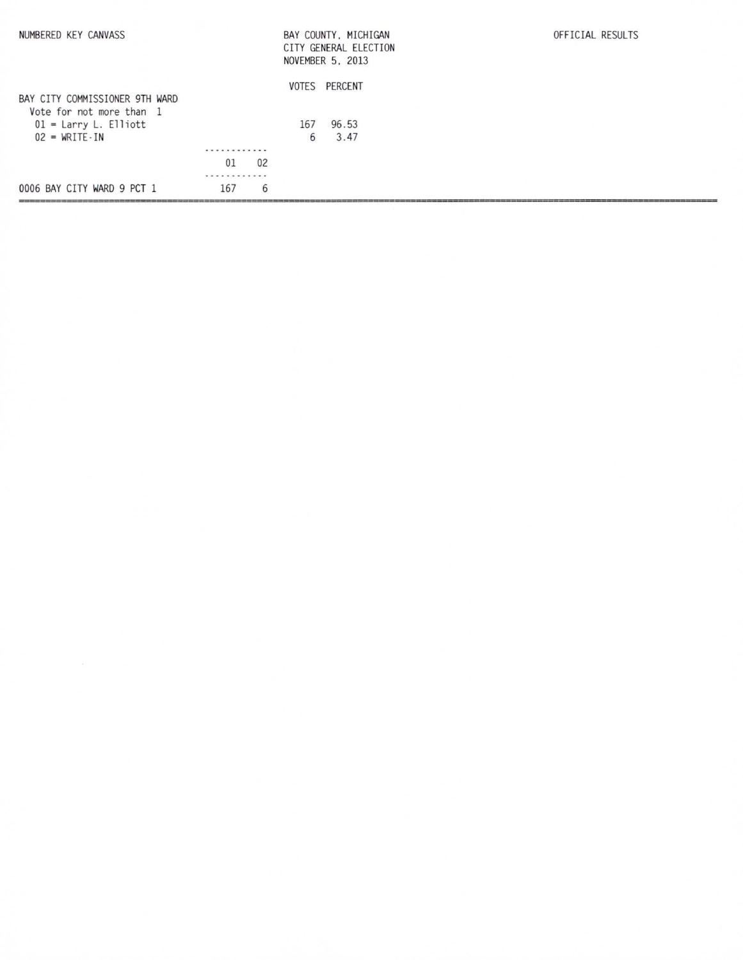| NUMBERED KEY CANVASS                                       |     |    |       | BAY COUNTY, MICHIGAN<br>CITY GENERAL ELECTION<br>NOVEMBER 5, 2013 | OFFICIAL RESULTS |
|------------------------------------------------------------|-----|----|-------|-------------------------------------------------------------------|------------------|
|                                                            |     |    | VOTES | PERCENT                                                           |                  |
| BAY CITY COMMISSIONER 9TH WARD<br>Vote for not more than 1 |     |    |       |                                                                   |                  |
| $01 =$ Larry L. Elliott                                    |     |    | 167   | 96.53                                                             |                  |
| $02 = WRITE \cdot IN$                                      |     |    | 6     | 3.47                                                              |                  |
|                                                            | .   |    |       |                                                                   |                  |
|                                                            | 01  | 02 |       |                                                                   |                  |
|                                                            | .   |    |       |                                                                   |                  |
| 0006 BAY CITY WARD 9 PCT 1                                 | 167 | 6  |       |                                                                   |                  |